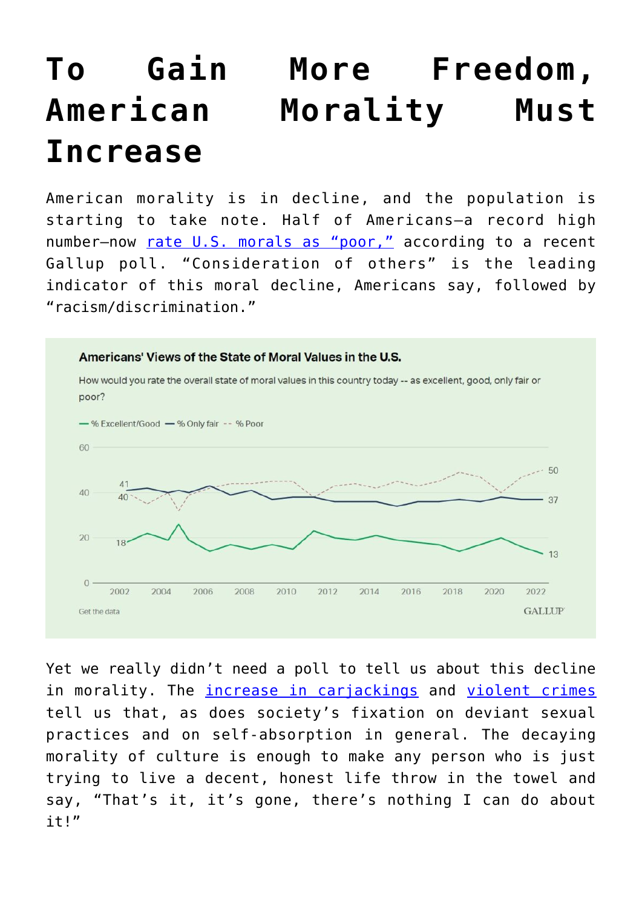## **[To Gain More Freedom,](https://intellectualtakeout.org/2022/06/to-gain-more-freedom-american-morality-must-increase/) [American Morality Must](https://intellectualtakeout.org/2022/06/to-gain-more-freedom-american-morality-must-increase/) [Increase](https://intellectualtakeout.org/2022/06/to-gain-more-freedom-american-morality-must-increase/)**

American morality is in decline, and the population is starting to take note. Half of Americans—a record high number-now [rate U.S. morals as "poor,"](https://news.gallup.com/poll/393659/record-high-americans-rate-moral-values-poor.aspx) according to a recent Gallup poll. "Consideration of others" is the leading indicator of this moral decline, Americans say, followed by "racism/discrimination."



Yet we really didn't need a poll to tell us about this decline in morality. The *increase in carjackings* and [violent crimes](https://www.foxnews.com/us/major-cities-violent-crimes-data-murders-shootings) tell us that, as does society's fixation on deviant sexual practices and on self-absorption in general. The decaying morality of culture is enough to make any person who is just trying to live a decent, honest life throw in the towel and say, "That's it, it's gone, there's nothing I can do about it!"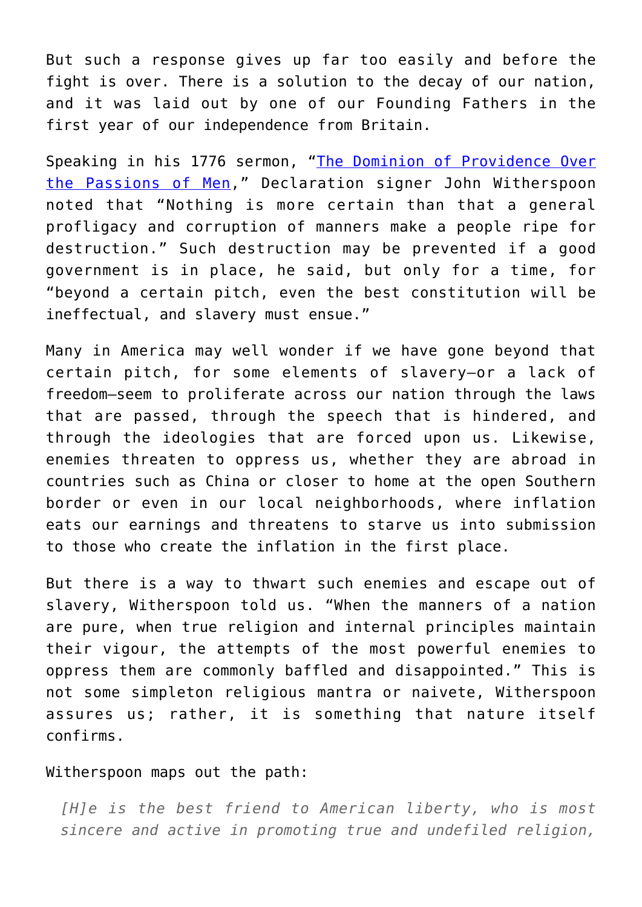But such a response gives up far too easily and before the fight is over. There is a solution to the decay of our nation, and it was laid out by one of our Founding Fathers in the first year of our independence from Britain.

Speaking in his 1776 sermon, "[The Dominion of Providence Over](https://oll.libertyfund.org/page/1776-witherspoon-dominion-of-providence-over-the-passions-of-men-sermon) [the Passions of Men](https://oll.libertyfund.org/page/1776-witherspoon-dominion-of-providence-over-the-passions-of-men-sermon)," Declaration signer John Witherspoon noted that "Nothing is more certain than that a general profligacy and corruption of manners make a people ripe for destruction." Such destruction may be prevented if a good government is in place, he said, but only for a time, for "beyond a certain pitch, even the best constitution will be ineffectual, and slavery must ensue."

Many in America may well wonder if we have gone beyond that certain pitch, for some elements of slavery—or a lack of freedom—seem to proliferate across our nation through the laws that are passed, through the speech that is hindered, and through the ideologies that are forced upon us. Likewise, enemies threaten to oppress us, whether they are abroad in countries such as China or closer to home at the open Southern border or even in our local neighborhoods, where inflation eats our earnings and threatens to starve us into submission to those who create the inflation in the first place.

But there is a way to thwart such enemies and escape out of slavery, Witherspoon told us. "When the manners of a nation are pure, when true religion and internal principles maintain their vigour, the attempts of the most powerful enemies to oppress them are commonly baffled and disappointed." This is not some simpleton religious mantra or naivete, Witherspoon assures us; rather, it is something that nature itself confirms.

## Witherspoon maps out the path:

*[H]e is the best friend to American liberty, who is most sincere and active in promoting true and undefiled religion,*